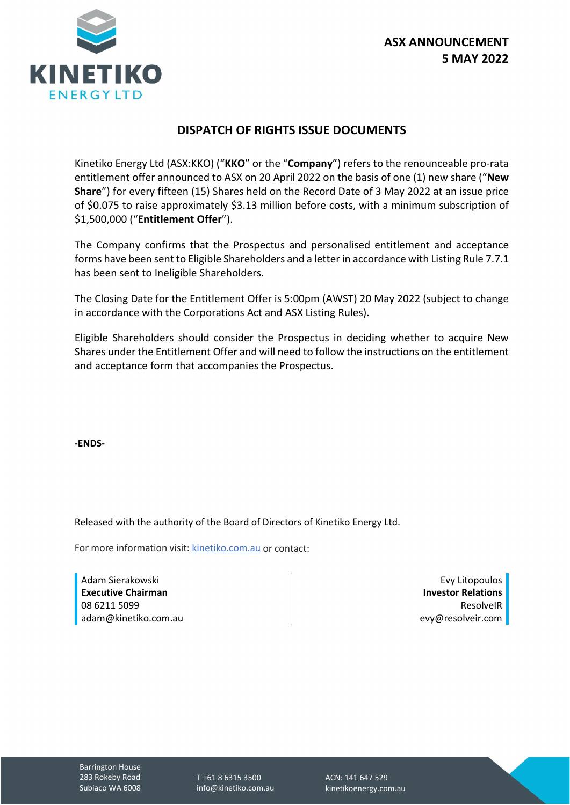

## **DISPATCH OF RIGHTS ISSUE DOCUMENTS**

Kinetiko Energy Ltd (ASX:KKO) ("**KKO**" or the "**Company**") refers to the renounceable pro-rata entitlement offer announced to ASX on 20 April 2022 on the basis of one (1) new share ("**New Share**") for every fifteen (15) Shares held on the Record Date of 3 May 2022 at an issue price of \$0.075 to raise approximately \$3.13 million before costs, with a minimum subscription of \$1,500,000 ("**Entitlement Offer**").

The Company confirms that the Prospectus and personalised entitlement and acceptance forms have been sent to Eligible Shareholders and a letter in accordance with Listing Rule 7.7.1 has been sent to Ineligible Shareholders.

The Closing Date for the Entitlement Offer is 5:00pm (AWST) 20 May 2022 (subject to change in accordance with the Corporations Act and ASX Listing Rules).

Eligible Shareholders should consider the Prospectus in deciding whether to acquire New Shares under the Entitlement Offer and will need to follow the instructions on the entitlement and acceptance form that accompanies the Prospectus.

**-ENDS-**

Released with the authority of the Board of Directors of Kinetiko Energy Ltd.

For more information visit[: kinetiko.com.au](http://www.kinetiko.com.au/) or contact:

Adam Sierakowski **Executive Chairman** 08 6211 5099 adam@kinetiko.com.au

Evy Litopoulos **Investor Relations** ResolveIR evy@resolveir.com

Barrington House 283 Rokeby Road Subiaco WA 6008

T +61 8 6315 3500 info@kinetiko.com.au ACN: 141 647 529 kinetikoenergy.com.au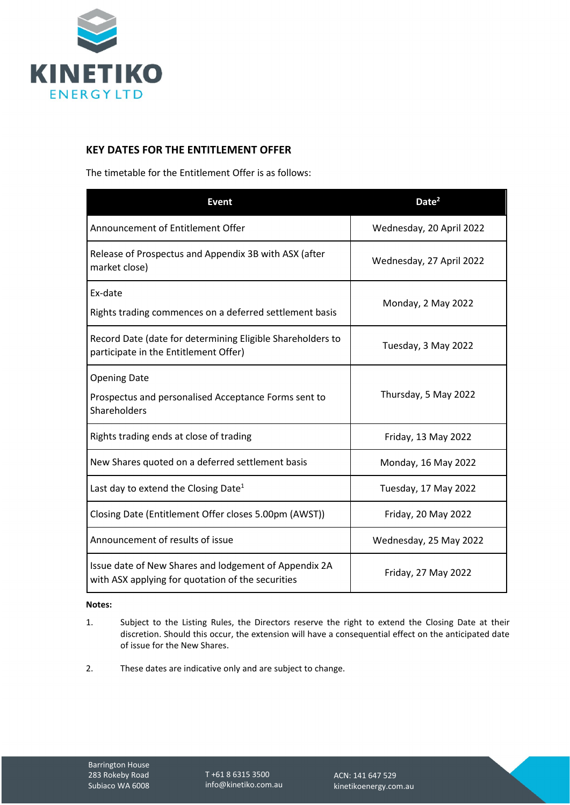

## **KEY DATES FOR THE ENTITLEMENT OFFER**

The timetable for the Entitlement Offer is as follows:

| <b>Event</b>                                                                                               | Date <sup>2</sup>        |
|------------------------------------------------------------------------------------------------------------|--------------------------|
| Announcement of Entitlement Offer                                                                          | Wednesday, 20 April 2022 |
| Release of Prospectus and Appendix 3B with ASX (after<br>market close)                                     | Wednesday, 27 April 2022 |
| Ex-date<br>Rights trading commences on a deferred settlement basis                                         | Monday, 2 May 2022       |
| Record Date (date for determining Eligible Shareholders to<br>participate in the Entitlement Offer)        | Tuesday, 3 May 2022      |
| <b>Opening Date</b><br>Prospectus and personalised Acceptance Forms sent to<br>Shareholders                | Thursday, 5 May 2022     |
| Rights trading ends at close of trading                                                                    | Friday, 13 May 2022      |
| New Shares quoted on a deferred settlement basis                                                           | Monday, 16 May 2022      |
| Last day to extend the Closing Date <sup>1</sup>                                                           | Tuesday, 17 May 2022     |
| Closing Date (Entitlement Offer closes 5.00pm (AWST))                                                      | Friday, 20 May 2022      |
| Announcement of results of issue                                                                           | Wednesday, 25 May 2022   |
| Issue date of New Shares and lodgement of Appendix 2A<br>with ASX applying for quotation of the securities | Friday, 27 May 2022      |

## **Notes:**

- 1. Subject to the Listing Rules, the Directors reserve the right to extend the Closing Date at their discretion. Should this occur, the extension will have a consequential effect on the anticipated date of issue for the New Shares.
- 2. These dates are indicative only and are subject to change.

T +61 8 6315 3500 info@kinetiko.com.au

ACN: 141 647 529 kinetikoenergy.com.au